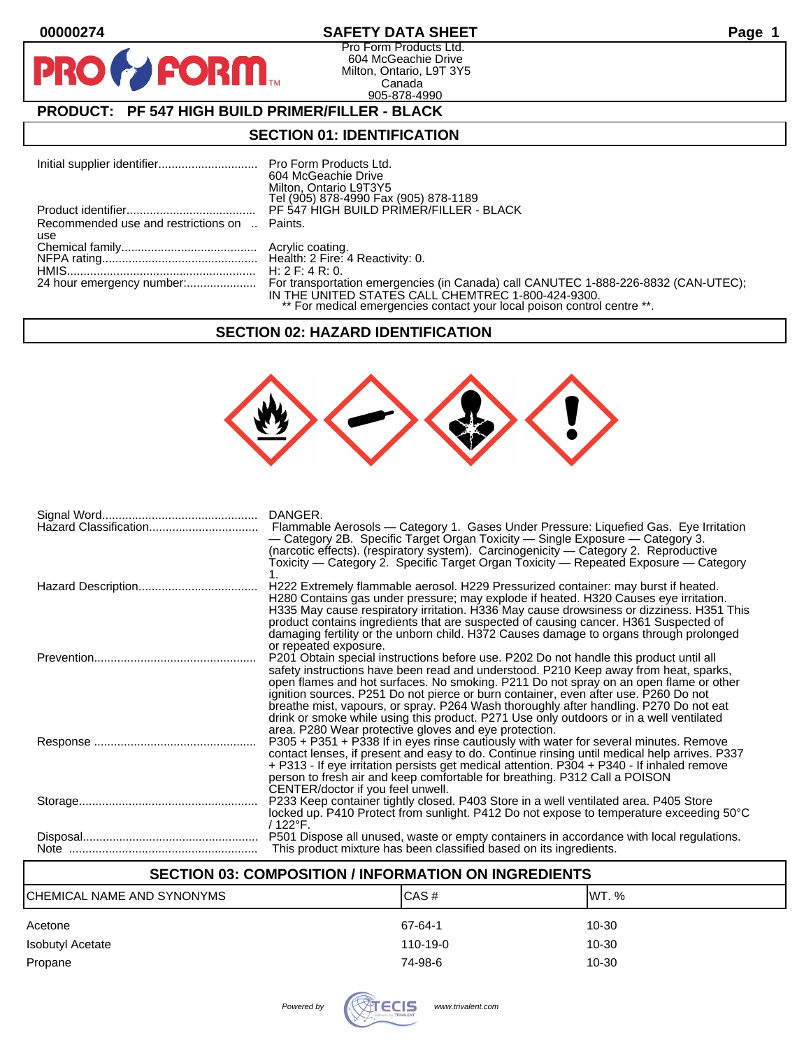D **P** 

# **00000274 SAFETY DATA SHEET Page 1**

Pro Form Products Ltd. 604 McGeachie Drive Milton, Ontario, L9T 3Y5 Canada 905-878-4990

# **PRODUCT: PF 547 HIGH BUILD PRIMER/FILLER - BLACK**

**FORM** 

### **SECTION 01: IDENTIFICATION**

|                                              | 604 McGeachie Drive<br>Milton, Ontario L9T3Y5                           |
|----------------------------------------------|-------------------------------------------------------------------------|
|                                              | Tel (905) 878-4990 Fax (905) 878-1189                                   |
|                                              |                                                                         |
| Recommended use and restrictions on  Paints. |                                                                         |
| use                                          |                                                                         |
|                                              |                                                                         |
|                                              |                                                                         |
|                                              |                                                                         |
|                                              |                                                                         |
|                                              | IN THE UNITED STATES CALL CHEMTREC 1-800-424-9300.                      |
|                                              | ** For medical emergencies contact your local poison control centre **. |

### **SECTION 02: HAZARD IDENTIFICATION**



| Hazard Classification | DANGER.<br>Flammable Aerosols — Category 1. Gases Under Pressure: Liquefied Gas. Eye Irritation<br>- Category 2B. Specific Target Organ Toxicity - Single Exposure - Category 3.<br>(narcotic effects). (respiratory system). Carcinogenicity — Category 2. Reproductive<br>Toxicity — Category 2. Specific Target Organ Toxicity — Repeated Exposure — Category                                                                                                                                                                                   |
|-----------------------|----------------------------------------------------------------------------------------------------------------------------------------------------------------------------------------------------------------------------------------------------------------------------------------------------------------------------------------------------------------------------------------------------------------------------------------------------------------------------------------------------------------------------------------------------|
|                       | H222 Extremely flammable aerosol. H229 Pressurized container: may burst if heated.<br>H280 Contains gas under pressure; may explode if heated. H320 Causes eye irritation.<br>H335 May cause respiratory irritation. H336 May cause drowsiness or dizziness. H351 This<br>product contains ingredients that are suspected of causing cancer. H361 Suspected of<br>damaging fertility or the unborn child. H372 Causes damage to organs through prolonged<br>or repeated exposure.                                                                  |
|                       | P201 Obtain special instructions before use. P202 Do not handle this product until all<br>safety instructions have been read and understood. P210 Keep away from heat, sparks,<br>open flames and hot surfaces. No smoking. P211 Do not spray on an open flame or other<br>ignition sources. P251 Do not pierce or burn container, even after use. P260 Do not<br>breathe mist, vapours, or spray. P264 Wash thoroughly after handling. P270 Do not eat<br>drink or smoke while using this product. P271 Use only outdoors or in a well ventilated |
|                       | area. P280 Wear protective gloves and eye protection.<br>P305 + P351 + P338 If in eyes rinse cautiously with water for several minutes. Remove<br>contact lenses, if present and easy to do. Continue rinsing until medical help arrives. P337<br>+ P313 - If eye irritation persists get medical attention. P304 + P340 - If inhaled remove<br>person to fresh air and keep comfortable for breathing. P312 Call a POISON<br>CENTER/doctor if you feel unwell.                                                                                    |
|                       | P233 Keep container tightly closed. P403 Store in a well ventilated area. P405 Store<br>locked up. P410 Protect from sunlight. P412 Do not expose to temperature exceeding 50°C<br>/ 122°F.                                                                                                                                                                                                                                                                                                                                                        |
|                       | P501 Dispose all unused, waste or empty containers in accordance with local regulations.<br>This product mixture has been classified based on its ingredients.                                                                                                                                                                                                                                                                                                                                                                                     |

# **SECTION 03: COMPOSITION / INFORMATION ON INGREDIENTS**

| CHEMICAL NAME AND SYNONYMS | CAS#           | IWT. %    |
|----------------------------|----------------|-----------|
| Acetone                    | 67-64-1        | $10 - 30$ |
| Isobutyl Acetate           | $110 - 19 - 0$ | $10 - 30$ |
| Propane                    | 74-98-6        | 10-30     |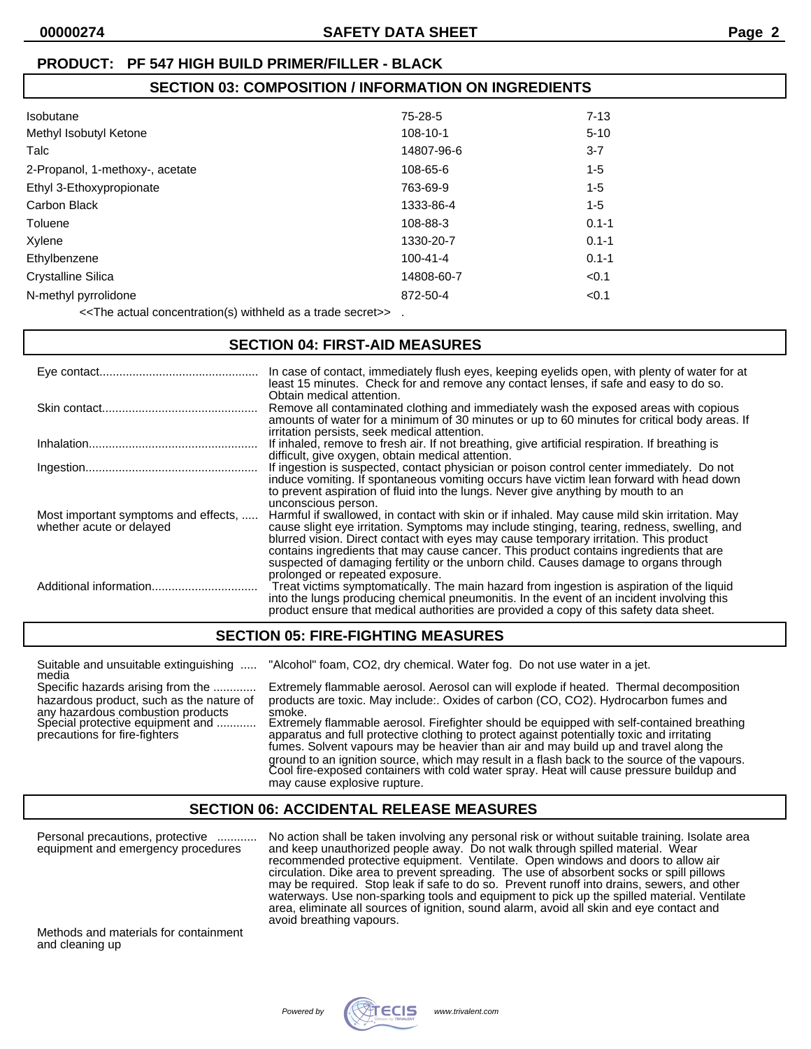# **SECTION 03: COMPOSITION / INFORMATION ON INGREDIENTS**

| Isobutane                       | 75-28-5        | $7 - 13$  |
|---------------------------------|----------------|-----------|
| Methyl Isobutyl Ketone          | 108-10-1       | $5 - 10$  |
| Talc                            | 14807-96-6     | $3 - 7$   |
| 2-Propanol, 1-methoxy-, acetate | 108-65-6       | $1 - 5$   |
| Ethyl 3-Ethoxypropionate        | 763-69-9       | $1 - 5$   |
| Carbon Black                    | 1333-86-4      | $1 - 5$   |
| Toluene                         | 108-88-3       | $0.1 - 1$ |
| Xylene                          | 1330-20-7      | $0.1 - 1$ |
| Ethylbenzene                    | $100 - 41 - 4$ | $0.1 - 1$ |
| Crystalline Silica              | 14808-60-7     | < 0.1     |
| N-methyl pyrrolidone            | 872-50-4       | < 0.1     |

<<The actual concentration(s) withheld as a trade secret>> .

#### **SECTION 04: FIRST-AID MEASURES**

|                                                                  | In case of contact, immediately flush eyes, keeping eyelids open, with plenty of water for at<br>least 15 minutes. Check for and remove any contact lenses, if safe and easy to do so.<br>Obtain medical attention.                                                                                                                                                                                                                                                     |
|------------------------------------------------------------------|-------------------------------------------------------------------------------------------------------------------------------------------------------------------------------------------------------------------------------------------------------------------------------------------------------------------------------------------------------------------------------------------------------------------------------------------------------------------------|
|                                                                  | Remove all contaminated clothing and immediately wash the exposed areas with copious<br>amounts of water for a minimum of 30 minutes or up to 60 minutes for critical body areas. If<br>irritation persists, seek medical attention.                                                                                                                                                                                                                                    |
|                                                                  | If inhaled, remove to fresh air. If not breathing, give artificial respiration. If breathing is<br>difficult, give oxygen, obtain medical attention.                                                                                                                                                                                                                                                                                                                    |
|                                                                  | If ingestion is suspected, contact physician or poison control center immediately. Do not<br>induce vomiting. If spontaneous vomiting occurs have victim lean forward with head down<br>to prevent aspiration of fluid into the lungs. Never give anything by mouth to an<br>unconscious person.                                                                                                                                                                        |
| Most important symptoms and effects,<br>whether acute or delayed | Harmful if swallowed, in contact with skin or if inhaled. May cause mild skin irritation. May<br>cause slight eye irritation. Symptoms may include stinging, tearing, redness, swelling, and<br>blurred vision. Direct contact with eyes may cause temporary irritation. This product<br>contains ingredients that may cause cancer. This product contains ingredients that are<br>suspected of damaging fertility or the unborn child. Causes damage to organs through |
|                                                                  | prolonged or repeated exposure.<br>Treat victims symptomatically. The main hazard from ingestion is aspiration of the liquid<br>into the lungs producing chemical pneumonitis. In the event of an incident involving this<br>product ensure that medical authorities are provided a copy of this safety data sheet.                                                                                                                                                     |

### **SECTION 05: FIRE-FIGHTING MEASURES**

| Suitable and unsuitable extinguishing<br>media                                                                     | "Alcohol" foam, CO2, dry chemical. Water fog. Do not use water in a jet.                                                                                                                                                                                                        |
|--------------------------------------------------------------------------------------------------------------------|---------------------------------------------------------------------------------------------------------------------------------------------------------------------------------------------------------------------------------------------------------------------------------|
| Specific hazards arising from the<br>hazardous product, such as the nature of<br>any hazardous combustion products | Extremely flammable aerosol. Aerosol can will explode if heated. Thermal decomposition<br>products are toxic. May include: Oxides of carbon (CO, CO2). Hydrocarbon fumes and<br>smoke.                                                                                          |
| Special protective equipment and<br>precautions for fire-fighters                                                  | Extremely flammable aerosol. Firefighter should be equipped with self-contained breathing<br>apparatus and full protective clothing to protect against potentially toxic and irritating<br>fumes. Solvent vapours may be heavier than air and may build up and travel along the |
|                                                                                                                    | ground to an ignition source, which may result in a flash back to the source of the vapours.<br>Cool fire-exposed containers with cold water spray. Heat will cause pressure buildup and<br>may cause explosive rupture.                                                        |

# **SECTION 06: ACCIDENTAL RELEASE MEASURES**

Personal precautions, protective ............ No action shall be taken involving any personal risk or without suitable training. Isolate area equipment and emergency procedures and keep unauthorized people away. Do not walk through spilled material. Wear recommended protective equipment. Ventilate. Open windows and doors to allow air circulation. Dike area to prevent spreading. The use of absorbent socks or spill pillows may be required. Stop leak if safe to do so. Prevent runoff into drains, sewers, and other waterways. Use non-sparking tools and equipment to pick up the spilled material. Ventilate area, eliminate all sources of ignition, sound alarm, avoid all skin and eye contact and avoid breathing vapours.

Methods and materials for containment and cleaning up

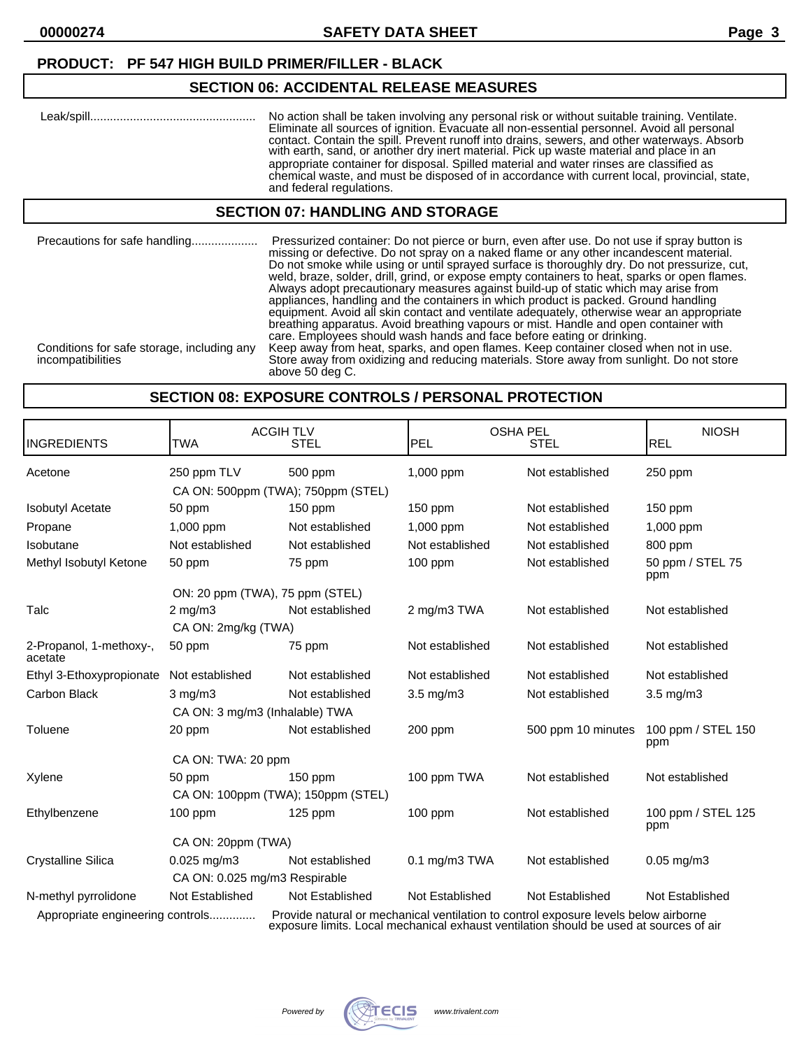# **SECTION 06: ACCIDENTAL RELEASE MEASURES**

| No action shall be taken involving any personal risk or without suitable training. Ventilate.<br>Eliminate all sources of ignition. Evacuate all non-essential personnel. Avoid all personal<br>contact. Contain the spill. Prevent runoff into drains, sewers, and other waterways. Absorb<br>with earth, sand, or another dry inert material. Pick up waste material and place in an<br>appropriate container for disposal. Spilled material and water rinses are classified as<br>chemical waste, and must be disposed of in accordance with current local, provincial, state, |
|-----------------------------------------------------------------------------------------------------------------------------------------------------------------------------------------------------------------------------------------------------------------------------------------------------------------------------------------------------------------------------------------------------------------------------------------------------------------------------------------------------------------------------------------------------------------------------------|
| and federal regulations.                                                                                                                                                                                                                                                                                                                                                                                                                                                                                                                                                          |

# **SECTION 07: HANDLING AND STORAGE**

| Precautions for safe handling                                   | Pressurized container: Do not pierce or burn, even after use. Do not use if spray button is<br>missing or defective. Do not spray on a naked flame or any other incandescent material.<br>Do not smoke while using or until sprayed surface is thoroughly dry. Do not pressurize, cut,<br>weld, braze, solder, drill, grind, or expose empty containers to heat, sparks or open flames.<br>Always adopt precautionary measures against build-up of static which may arise from<br>appliances, handling and the containers in which product is packed. Ground handling<br>equipment. Avoid all skin contact and ventilate adequately, otherwise wear an appropriate<br>breathing apparatus. Avoid breathing vapours or mist. Handle and open container with<br>care. Employees should wash hands and face before eating or drinking. |
|-----------------------------------------------------------------|-------------------------------------------------------------------------------------------------------------------------------------------------------------------------------------------------------------------------------------------------------------------------------------------------------------------------------------------------------------------------------------------------------------------------------------------------------------------------------------------------------------------------------------------------------------------------------------------------------------------------------------------------------------------------------------------------------------------------------------------------------------------------------------------------------------------------------------|
| Conditions for safe storage, including any<br>incompatibilities | Keep away from heat, sparks, and open flames. Keep container closed when not in use.<br>Store away from oxidizing and reducing materials. Store away from sunlight. Do not store<br>above 50 deg C.                                                                                                                                                                                                                                                                                                                                                                                                                                                                                                                                                                                                                                 |

# **SECTION 08: EXPOSURE CONTROLS / PERSONAL PROTECTION**

| <b>INGREDIENTS</b>                 | <b>TWA</b>                     | <b>ACGIH TLV</b><br><b>STEL</b>                                                                                                                                               | <b>PEL</b>         | <b>OSHA PEL</b><br><b>STEL</b> | <b>NIOSH</b><br><b>REL</b> |
|------------------------------------|--------------------------------|-------------------------------------------------------------------------------------------------------------------------------------------------------------------------------|--------------------|--------------------------------|----------------------------|
| Acetone                            | 250 ppm TLV                    | 500 ppm                                                                                                                                                                       | 1,000 ppm          | Not established                | 250 ppm                    |
|                                    |                                | CA ON: 500ppm (TWA); 750ppm (STEL)                                                                                                                                            |                    |                                |                            |
| <b>Isobutyl Acetate</b>            | 50 ppm                         | 150 ppm                                                                                                                                                                       | 150 ppm            | Not established                | $150$ ppm                  |
| Propane                            | 1,000 ppm                      | Not established                                                                                                                                                               | 1,000 ppm          | Not established                | 1,000 ppm                  |
| Isobutane                          | Not established                | Not established                                                                                                                                                               | Not established    | Not established                | 800 ppm                    |
| Methyl Isobutyl Ketone             | 50 ppm                         | 75 ppm                                                                                                                                                                        | 100 ppm            | Not established                | 50 ppm / STEL 75<br>ppm    |
|                                    |                                | ON: 20 ppm (TWA), 75 ppm (STEL)                                                                                                                                               |                    |                                |                            |
| Talc                               | $2 \text{ mg/m}$               | Not established                                                                                                                                                               | 2 mg/m3 TWA        | Not established                | Not established            |
|                                    | CA ON: 2mg/kg (TWA)            |                                                                                                                                                                               |                    |                                |                            |
| 2-Propanol, 1-methoxy-,<br>acetate | 50 ppm                         | 75 ppm                                                                                                                                                                        | Not established    | Not established                | Not established            |
| Ethyl 3-Ethoxypropionate           | Not established                | Not established                                                                                                                                                               | Not established    | Not established                | Not established            |
| Carbon Black                       | $3$ mg/m $3$                   | Not established                                                                                                                                                               | $3.5 \text{ mg/m}$ | Not established                | $3.5$ mg/m $3$             |
|                                    | CA ON: 3 mg/m3 (Inhalable) TWA |                                                                                                                                                                               |                    |                                |                            |
| Toluene                            | 20 ppm                         | Not established                                                                                                                                                               | 200 ppm            | 500 ppm 10 minutes             | 100 ppm / STEL 150<br>ppm  |
|                                    | CA ON: TWA: 20 ppm             |                                                                                                                                                                               |                    |                                |                            |
| Xylene                             | 50 ppm                         | $150$ ppm                                                                                                                                                                     | 100 ppm TWA        | Not established                | Not established            |
|                                    |                                | CA ON: 100ppm (TWA); 150ppm (STEL)                                                                                                                                            |                    |                                |                            |
| Ethylbenzene                       | $100$ ppm                      | $125$ ppm                                                                                                                                                                     | $100$ ppm          | Not established                | 100 ppm / STEL 125<br>ppm  |
|                                    | CA ON: 20ppm (TWA)             |                                                                                                                                                                               |                    |                                |                            |
| <b>Crystalline Silica</b>          | $0.025$ mg/m $3$               | Not established                                                                                                                                                               | $0.1$ mg/m $3$ TWA | Not established                | $0.05$ mg/m $3$            |
|                                    | CA ON: 0.025 mg/m3 Respirable  |                                                                                                                                                                               |                    |                                |                            |
| N-methyl pyrrolidone               | Not Established                | Not Established                                                                                                                                                               | Not Established    | Not Established                | Not Established            |
| Appropriate engineering controls   |                                | Provide natural or mechanical ventilation to control exposure levels below airborne<br>exposure limits. Local mechanical exhaust ventilation should be used at sources of air |                    |                                |                            |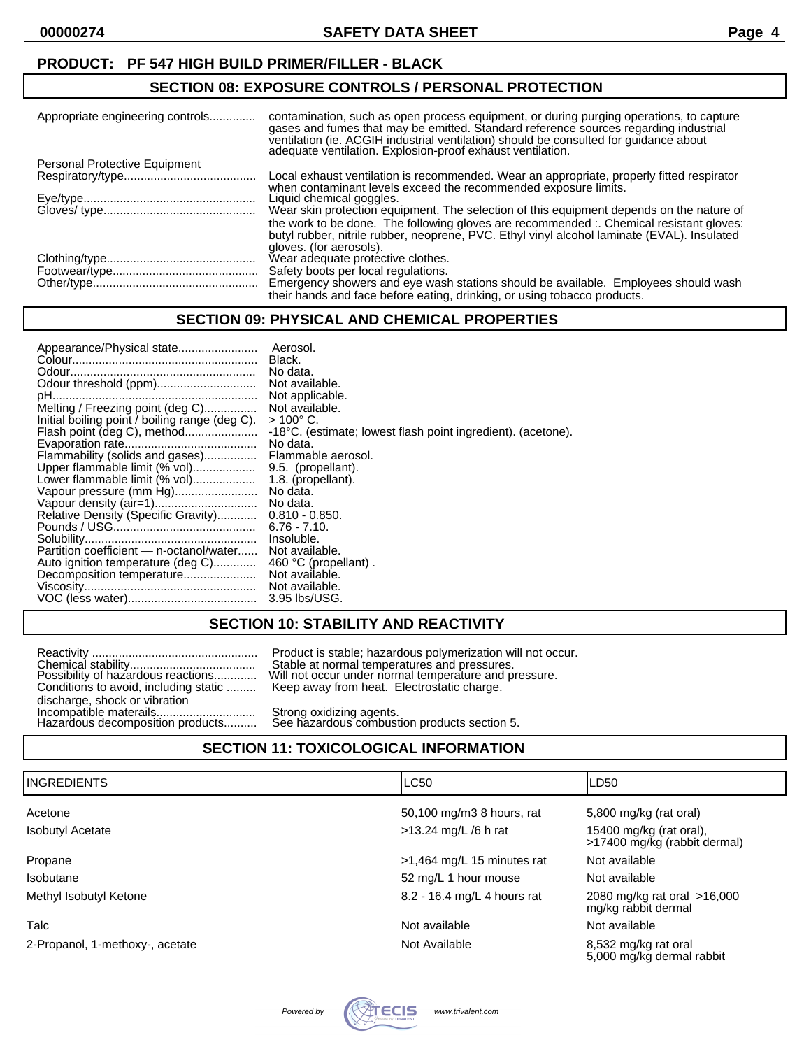#### **SECTION 08: EXPOSURE CONTROLS / PERSONAL PROTECTION**

| Appropriate engineering controls | contamination, such as open process equipment, or during purging operations, to capture<br>gases and fumes that may be emitted. Standard reference sources regarding industrial<br>ventilation (ie. ACGIH industrial ventilation) should be consulted for guidance about adequate ventilation. Explosion-proof exhaust ventilation. |
|----------------------------------|-------------------------------------------------------------------------------------------------------------------------------------------------------------------------------------------------------------------------------------------------------------------------------------------------------------------------------------|
| Personal Protective Equipment    |                                                                                                                                                                                                                                                                                                                                     |
|                                  | Local exhaust ventilation is recommended. Wear an appropriate, properly fitted respirator<br>when contaminant levels exceed the recommended exposure limits.                                                                                                                                                                        |
|                                  | Liquid chemical goggles.                                                                                                                                                                                                                                                                                                            |
|                                  | Wear skin protection equipment. The selection of this equipment depends on the nature of                                                                                                                                                                                                                                            |
|                                  | the work to be done. The following gloves are recommended : Chemical resistant gloves:<br>butyl rubber, nitrile rubber, neoprene, PVC. Ethyl vinyl alcohol laminate (EVAL). Insulated                                                                                                                                               |
|                                  | gloves. (for aerosols).                                                                                                                                                                                                                                                                                                             |
|                                  | Wear adequate protective clothes.                                                                                                                                                                                                                                                                                                   |
|                                  | Safety boots per local regulations.                                                                                                                                                                                                                                                                                                 |
|                                  | Emergency showers and eye wash stations should be available. Employees should wash<br>their hands and face before eating, drinking, or using tobacco products.                                                                                                                                                                      |

### **SECTION 09: PHYSICAL AND CHEMICAL PROPERTIES**

| Appearance/Physical state                      | Aerosol.                                                     |
|------------------------------------------------|--------------------------------------------------------------|
|                                                | Black.                                                       |
|                                                | No data.                                                     |
|                                                | Not available.                                               |
|                                                | Not applicable.                                              |
| Melting / Freezing point (deg C)               | Not available.                                               |
| Initial boiling point / boiling range (deg C). | $>100^{\circ}$ C.                                            |
| Flash point (deg C), method                    | -18°C. (estimate; lowest flash point ingredient). (acetone). |
|                                                | No data.                                                     |
| Flammability (solids and gases)                | Flammable aerosol.                                           |
| Upper flammable limit (% vol)                  | 9.5. (propellant).                                           |
| Lower flammable limit (% vol)                  | 1.8. (propellant).                                           |
| Vapour pressure (mm Hg)                        | No data.                                                     |
|                                                | No data.                                                     |
| Relative Density (Specific Gravity)            | $0.810 - 0.850.$                                             |
|                                                | $6.76 - 7.10$                                                |
|                                                | Insoluble.                                                   |
| Partition coefficient — n-octanol/water        | Not available.                                               |
| Auto ignition temperature (deg C)              | 460 °C (propellant).                                         |
| Decomposition temperature                      | Not available.                                               |
|                                                | Not available.                                               |
|                                                | 3.95 lbs/USG.                                                |

# **SECTION 10: STABILITY AND REACTIVITY**

|                                                            | Product is stable; hazardous polymerization will                                   |
|------------------------------------------------------------|------------------------------------------------------------------------------------|
|                                                            | Stable at normal temperatures and pressures.                                       |
| Conditions to avoid, including static                      | Possibility of hazardous reactions Will not occur under normal temperature and pre |
| discharge, shock or vibration                              | Keep away from heat. Electrostatic charge.                                         |
| Incompatible materails<br>Hazardous decomposition products | Strong oxidizing agents.<br>See hazardous combustion products section 5.           |

Product is stable; hazardous polymerization will not occur. Stable at normal temperatures and pressures. Will not occur under normal temperature and pressure. Keep away from heat. Electrostatic charge.

# **SECTION 11: TOXICOLOGICAL INFORMATION**

| <b>IINGREDIENTS</b>             | <b>LC50</b>                 | LD <sub>50</sub>                                        |
|---------------------------------|-----------------------------|---------------------------------------------------------|
| Acetone                         | 50,100 mg/m3 8 hours, rat   | 5,800 mg/kg (rat oral)                                  |
| <b>Isobutyl Acetate</b>         | $>13.24$ mg/L /6 h rat      | 15400 mg/kg (rat oral),<br>>17400 mg/kg (rabbit dermal) |
| Propane                         | >1,464 mg/L 15 minutes rat  | Not available                                           |
| Isobutane                       | 52 mg/L 1 hour mouse        | Not available                                           |
| Methyl Isobutyl Ketone          | 8.2 - 16.4 mg/L 4 hours rat | 2080 mg/kg rat oral >16,000<br>mg/kg rabbit dermal      |
| Talc                            | Not available               | Not available                                           |
| 2-Propanol, 1-methoxy-, acetate | Not Available               | 8,532 mg/kg rat oral<br>5,000 mg/kg dermal rabbit       |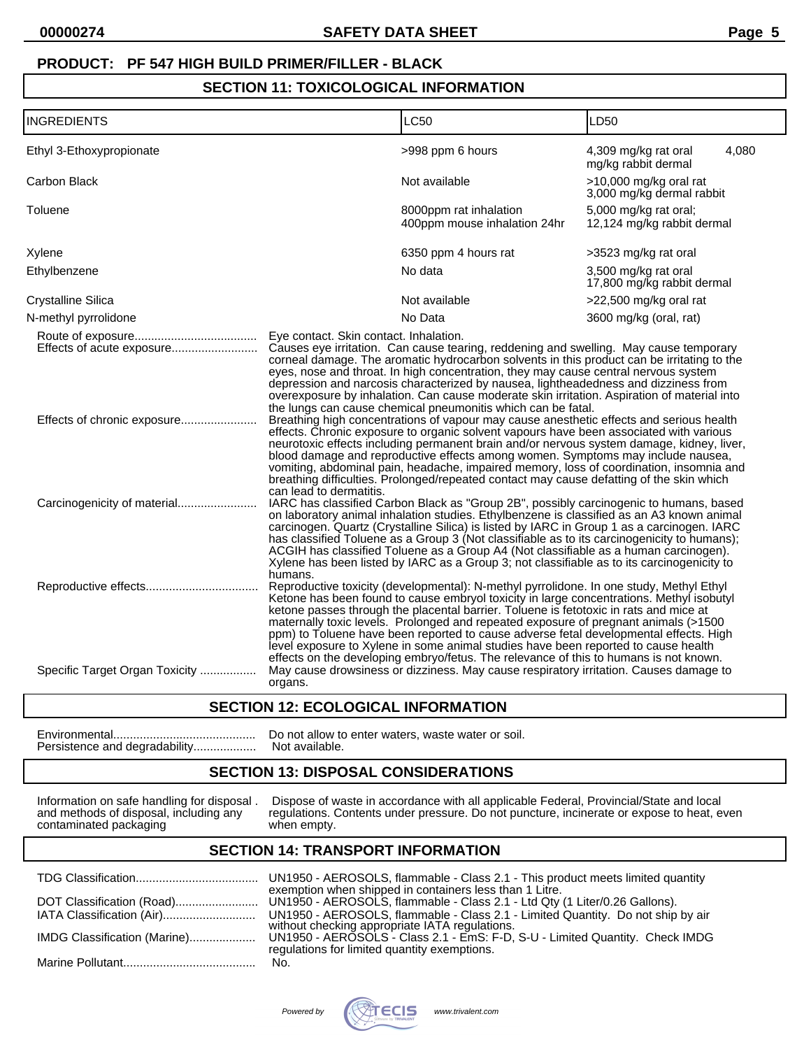# **SECTION 11: TOXICOLOGICAL INFORMATION**

| <b>INGREDIENTS</b>                                       |                                                                   | <b>LC50</b>                                                                                                                                                                                                                                                                                                                                                                                                                                                                                                                                                                                                                                                                                                                                                                                                                                                                                                                                                                                                                                                                                  | LD <sub>50</sub>                                     |
|----------------------------------------------------------|-------------------------------------------------------------------|----------------------------------------------------------------------------------------------------------------------------------------------------------------------------------------------------------------------------------------------------------------------------------------------------------------------------------------------------------------------------------------------------------------------------------------------------------------------------------------------------------------------------------------------------------------------------------------------------------------------------------------------------------------------------------------------------------------------------------------------------------------------------------------------------------------------------------------------------------------------------------------------------------------------------------------------------------------------------------------------------------------------------------------------------------------------------------------------|------------------------------------------------------|
| Ethyl 3-Ethoxypropionate                                 |                                                                   | >998 ppm 6 hours                                                                                                                                                                                                                                                                                                                                                                                                                                                                                                                                                                                                                                                                                                                                                                                                                                                                                                                                                                                                                                                                             | 4,080<br>4,309 mg/kg rat oral<br>mg/kg rabbit dermal |
| Carbon Black                                             |                                                                   | Not available                                                                                                                                                                                                                                                                                                                                                                                                                                                                                                                                                                                                                                                                                                                                                                                                                                                                                                                                                                                                                                                                                | >10,000 mg/kg oral rat<br>3,000 mg/kg dermal rabbit  |
| Toluene                                                  |                                                                   | 8000ppm rat inhalation<br>400ppm mouse inhalation 24hr                                                                                                                                                                                                                                                                                                                                                                                                                                                                                                                                                                                                                                                                                                                                                                                                                                                                                                                                                                                                                                       | 5,000 mg/kg rat oral;<br>12,124 mg/kg rabbit dermal  |
| Xylene                                                   |                                                                   | 6350 ppm 4 hours rat                                                                                                                                                                                                                                                                                                                                                                                                                                                                                                                                                                                                                                                                                                                                                                                                                                                                                                                                                                                                                                                                         | >3523 mg/kg rat oral                                 |
| Ethylbenzene                                             |                                                                   | No data                                                                                                                                                                                                                                                                                                                                                                                                                                                                                                                                                                                                                                                                                                                                                                                                                                                                                                                                                                                                                                                                                      | 3,500 mg/kg rat oral<br>17,800 mg/kg rabbit dermal   |
| <b>Crystalline Silica</b>                                |                                                                   | Not available                                                                                                                                                                                                                                                                                                                                                                                                                                                                                                                                                                                                                                                                                                                                                                                                                                                                                                                                                                                                                                                                                | >22,500 mg/kg oral rat                               |
| N-methyl pyrrolidone                                     |                                                                   | No Data                                                                                                                                                                                                                                                                                                                                                                                                                                                                                                                                                                                                                                                                                                                                                                                                                                                                                                                                                                                                                                                                                      | 3600 mg/kg (oral, rat)                               |
| Effects of acute exposure<br>Effects of chronic exposure | Eye contact. Skin contact. Inhalation.<br>can lead to dermatitis. | Causes eye irritation. Can cause tearing, reddening and swelling. May cause temporary<br>corneal damage. The aromatic hydrocarbon solvents in this product can be irritating to the<br>eyes, nose and throat. In high concentration, they may cause central nervous system<br>depression and narcosis characterized by nausea, lightheadedness and dizziness from<br>overexposure by inhalation. Can cause moderate skin irritation. Aspiration of material into<br>the lungs can cause chemical pneumonitis which can be fatal.<br>Breathing high concentrations of vapour may cause anesthetic effects and serious health<br>effects. Chronic exposure to organic solvent vapours have been associated with various<br>neurotoxic effects including permanent brain and/or nervous system damage, kidney, liver,<br>blood damage and reproductive effects among women. Symptoms may include nausea,<br>vomiting, abdominal pain, headache, impaired memory, loss of coordination, insomnia and<br>breathing difficulties. Prolonged/repeated contact may cause defatting of the skin which |                                                      |
|                                                          | humans.                                                           | IARC has classified Carbon Black as "Group 2B", possibly carcinogenic to humans, based<br>on laboratory animal inhalation studies. Ethylbenzene is classified as an A3 known animal<br>carcinogen. Quartz (Crystalline Silica) is listed by IARC in Group 1 as a carcinogen. IARC<br>has classified Toluene as a Group 3 (Not classifiable as to its carcinogenicity to humans);<br>ACGIH has classified Toluene as a Group A4 (Not classifiable as a human carcinogen).<br>Xylene has been listed by IARC as a Group 3; not classifiable as to its carcinogenicity to<br>Reproductive toxicity (developmental): N-methyl pyrrolidone. In one study, Methyl Ethyl<br>Ketone has been found to cause embryol toxicity in large concentrations. Methyl isobutyl<br>ketone passes through the placental barrier. Toluene is fetotoxic in rats and mice at<br>maternally toxic levels. Prolonged and repeated exposure of pregnant animals (>1500                                                                                                                                                |                                                      |
| Specific Target Organ Toxicity                           | organs.                                                           | ppm) to Toluene have been reported to cause adverse fetal developmental effects. High<br>level exposure to Xylene in some animal studies have been reported to cause health<br>effects on the developing embryo/fetus. The relevance of this to humans is not known.<br>May cause drowsiness or dizziness. May cause respiratory irritation. Causes damage to                                                                                                                                                                                                                                                                                                                                                                                                                                                                                                                                                                                                                                                                                                                                |                                                      |

#### **SECTION 12: ECOLOGICAL INFORMATION**

Persistence and degradability...................

Environmental........................................... Do not allow to enter waters, waste water or soil.

## **SECTION 13: DISPOSAL CONSIDERATIONS**

Information on safe handling for disposal. Dispose of w<br>and methods of disposal, including any regulations. Contaminated packaging when empty.

Information on safe handling for disposal . Dispose of waste in accordance with all applicable Federal, Provincial/State and local and methods of disposal, including any regulations. Contents under pressure. Do not puncture, incinerate or expose to heat, even

# **SECTION 14: TRANSPORT INFORMATION**

|                              | UN1950 - AEROSOLS, flammable - Class 2.1 - This product meets limited quantity                                                        |
|------------------------------|---------------------------------------------------------------------------------------------------------------------------------------|
| DOT Classification (Road)    | exemption when shipped in containers less than 1 Litre.<br>UN1950 - AEROSOLS, flammable - Class 2.1 - Ltd Qty (1 Liter/0.26 Gallons). |
|                              | UN1950 - AEROSOLS, flammable - Class 2.1 - Limited Quantity. Do not ship by air without checking appropriate IATA regulations.        |
| IMDG Classification (Marine) | UN1950 - AEROSOLS - Class 2.1 - EmS: F-D, S-U - Limited Quantity. Check IMDG<br>regulations for limited quantity exemptions.          |
|                              | No.                                                                                                                                   |